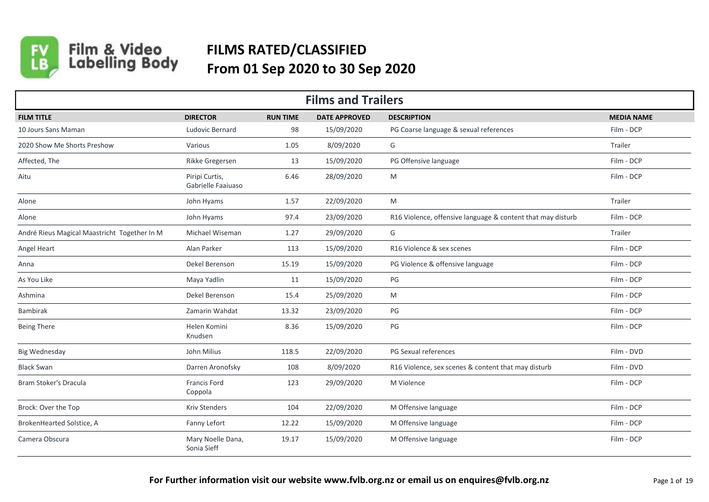

## Film & Video<br>Labelling Body **FILMS RATED/CLASSIFIED From 01 Sep 2020 to 30 Sep 2020**

| <b>Films and Trailers</b>                    |                                      |                 |                      |                                                             |                   |  |  |  |
|----------------------------------------------|--------------------------------------|-----------------|----------------------|-------------------------------------------------------------|-------------------|--|--|--|
| <b>FILM TITLE</b>                            | <b>DIRECTOR</b>                      | <b>RUN TIME</b> | <b>DATE APPROVED</b> | <b>DESCRIPTION</b>                                          | <b>MEDIA NAME</b> |  |  |  |
| 10 Jours Sans Maman                          | Ludovic Bernard                      | 98              | 15/09/2020           | PG Coarse language & sexual references                      | Film - DCP        |  |  |  |
| 2020 Show Me Shorts Preshow                  | Various                              | 1.05            | 8/09/2020            | G                                                           | Trailer           |  |  |  |
| Affected, The                                | Rikke Gregersen                      | 13              | 15/09/2020           | PG Offensive language                                       | Film - DCP        |  |  |  |
| Aitu                                         | Piripi Curtis,<br>Gabrielle Faaiuaso | 6.46            | 28/09/2020           | M                                                           | Film - DCP        |  |  |  |
| Alone                                        | John Hyams                           | 1.57            | 22/09/2020           | M                                                           | Trailer           |  |  |  |
| Alone                                        | John Hyams                           | 97.4            | 23/09/2020           | R16 Violence, offensive language & content that may disturb | Film - DCP        |  |  |  |
| André Rieus Magical Maastricht Together In M | Michael Wiseman                      | 1.27            | 29/09/2020           | G                                                           | Trailer           |  |  |  |
| Angel Heart                                  | Alan Parker                          | 113             | 15/09/2020           | R16 Violence & sex scenes                                   | Film - DCP        |  |  |  |
| Anna                                         | Dekel Berenson                       | 15.19           | 15/09/2020           | PG Violence & offensive language                            | Film - DCP        |  |  |  |
| As You Like                                  | Maya Yadlin                          | 11              | 15/09/2020           | $PG$                                                        | Film - DCP        |  |  |  |
| Ashmina                                      | Dekel Berenson                       | 15.4            | 25/09/2020           | M                                                           | Film - DCP        |  |  |  |
| Bambirak                                     | Zamarin Wahdat                       | 13.32           | 23/09/2020           | PG                                                          | Film - DCP        |  |  |  |
| <b>Being There</b>                           | Helen Komini<br>Knudsen              | 8.36            | 15/09/2020           | PG                                                          | Film - DCP        |  |  |  |
| <b>Big Wednesday</b>                         | John Milius                          | 118.5           | 22/09/2020           | PG Sexual references                                        | Film - DVD        |  |  |  |
| <b>Black Swan</b>                            | Darren Aronofsky                     | 108             | 8/09/2020            | R16 Violence, sex scenes & content that may disturb         | Film - DVD        |  |  |  |
| Bram Stoker's Dracula                        | Francis Ford<br>Coppola              | 123             | 29/09/2020           | M Violence                                                  | Film - DCP        |  |  |  |
| Brock: Over the Top                          | <b>Kriv Stenders</b>                 | 104             | 22/09/2020           | M Offensive language                                        | Film - DCP        |  |  |  |
| BrokenHearted Solstice, A                    | Fanny Lefort                         | 12.22           | 15/09/2020           | M Offensive language                                        | Film - DCP        |  |  |  |
| Camera Obscura                               | Mary Noelle Dana,<br>Sonia Sieff     | 19.17           | 15/09/2020           | M Offensive language                                        | Film - DCP        |  |  |  |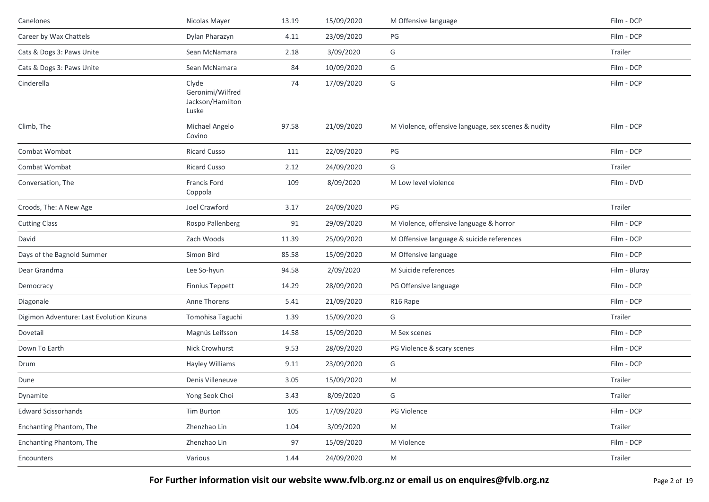| Canelones                                | Nicolas Mayer                                          | 13.19 | 15/09/2020 | M Offensive language                                | Film - DCP    |
|------------------------------------------|--------------------------------------------------------|-------|------------|-----------------------------------------------------|---------------|
| Career by Wax Chattels                   | Dylan Pharazyn                                         | 4.11  | 23/09/2020 | PG                                                  | Film - DCP    |
| Cats & Dogs 3: Paws Unite                | Sean McNamara                                          | 2.18  | 3/09/2020  | G                                                   | Trailer       |
| Cats & Dogs 3: Paws Unite                | Sean McNamara                                          | 84    | 10/09/2020 | G                                                   | Film - DCP    |
| Cinderella                               | Clyde<br>Geronimi/Wilfred<br>Jackson/Hamilton<br>Luske | 74    | 17/09/2020 | G                                                   | Film - DCP    |
| Climb, The                               | Michael Angelo<br>Covino                               | 97.58 | 21/09/2020 | M Violence, offensive language, sex scenes & nudity | Film - DCP    |
| Combat Wombat                            | <b>Ricard Cusso</b>                                    | 111   | 22/09/2020 | $\mathsf{PG}$                                       | Film - DCP    |
| Combat Wombat                            | <b>Ricard Cusso</b>                                    | 2.12  | 24/09/2020 | G                                                   | Trailer       |
| Conversation, The                        | Francis Ford<br>Coppola                                | 109   | 8/09/2020  | M Low level violence                                | Film - DVD    |
| Croods, The: A New Age                   | Joel Crawford                                          | 3.17  | 24/09/2020 | PG                                                  | Trailer       |
| <b>Cutting Class</b>                     | Rospo Pallenberg                                       | 91    | 29/09/2020 | M Violence, offensive language & horror             | Film - DCP    |
| David                                    | Zach Woods                                             | 11.39 | 25/09/2020 | M Offensive language & suicide references           | Film - DCP    |
| Days of the Bagnold Summer               | Simon Bird                                             | 85.58 | 15/09/2020 | M Offensive language                                | Film - DCP    |
| Dear Grandma                             | Lee So-hyun                                            | 94.58 | 2/09/2020  | M Suicide references                                | Film - Bluray |
| Democracy                                | <b>Finnius Teppett</b>                                 | 14.29 | 28/09/2020 | PG Offensive language                               | Film - DCP    |
| Diagonale                                | Anne Thorens                                           | 5.41  | 21/09/2020 | R16 Rape                                            | Film - DCP    |
| Digimon Adventure: Last Evolution Kizuna | Tomohisa Taguchi                                       | 1.39  | 15/09/2020 | G                                                   | Trailer       |
| Dovetail                                 | Magnús Leifsson                                        | 14.58 | 15/09/2020 | M Sex scenes                                        | Film - DCP    |
| Down To Earth                            | Nick Crowhurst                                         | 9.53  | 28/09/2020 | PG Violence & scary scenes                          | Film - DCP    |
| Drum                                     | Hayley Williams                                        | 9.11  | 23/09/2020 | G                                                   | Film - DCP    |
| Dune                                     | Denis Villeneuve                                       | 3.05  | 15/09/2020 | M                                                   | Trailer       |
| Dynamite                                 | Yong Seok Choi                                         | 3.43  | 8/09/2020  | G                                                   | Trailer       |
| <b>Edward Scissorhands</b>               | Tim Burton                                             | 105   | 17/09/2020 | PG Violence                                         | Film - DCP    |
| Enchanting Phantom, The                  | Zhenzhao Lin                                           | 1.04  | 3/09/2020  | M                                                   | Trailer       |
| Enchanting Phantom, The                  | Zhenzhao Lin                                           | 97    | 15/09/2020 | M Violence                                          | Film - DCP    |
| Encounters                               | Various                                                | 1.44  | 24/09/2020 | M                                                   | Trailer       |

**For Further information visit our website www.fvlb.org.nz or email us on enquires@fvlb.org.nz** Page 2 of 19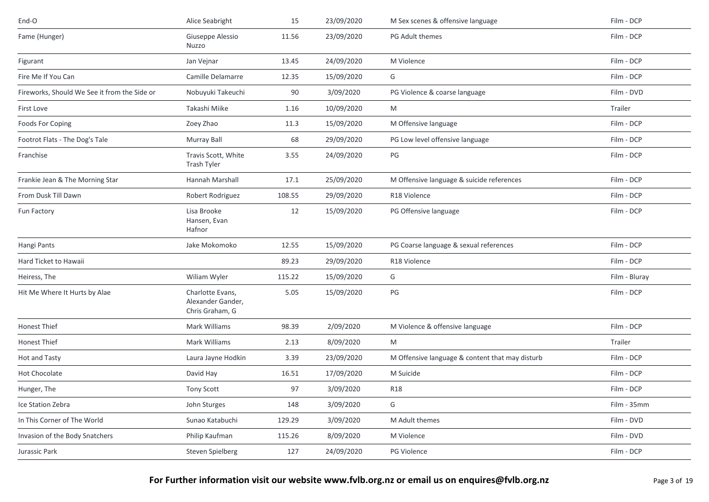| End-O                                        | Alice Seabright                                          | 15     | 23/09/2020 | M Sex scenes & offensive language               | Film - DCP    |
|----------------------------------------------|----------------------------------------------------------|--------|------------|-------------------------------------------------|---------------|
| Fame (Hunger)                                | Giuseppe Alessio<br>Nuzzo                                | 11.56  | 23/09/2020 | PG Adult themes                                 | Film - DCP    |
| Figurant                                     | Jan Vejnar                                               | 13.45  | 24/09/2020 | M Violence                                      | Film - DCP    |
| Fire Me If You Can                           | Camille Delamarre                                        | 12.35  | 15/09/2020 | G                                               | Film - DCP    |
| Fireworks, Should We See it from the Side or | Nobuyuki Takeuchi                                        | 90     | 3/09/2020  | PG Violence & coarse language                   | Film - DVD    |
| First Love                                   | Takashi Miike                                            | 1.16   | 10/09/2020 | M                                               | Trailer       |
| Foods For Coping                             | Zoey Zhao                                                | 11.3   | 15/09/2020 | M Offensive language                            | Film - DCP    |
| Footrot Flats - The Dog's Tale               | Murray Ball                                              | 68     | 29/09/2020 | PG Low level offensive language                 | Film - DCP    |
| Franchise                                    | Travis Scott, White<br>Trash Tyler                       | 3.55   | 24/09/2020 | PG                                              | Film - DCP    |
| Frankie Jean & The Morning Star              | Hannah Marshall                                          | 17.1   | 25/09/2020 | M Offensive language & suicide references       | Film - DCP    |
| From Dusk Till Dawn                          | Robert Rodriguez                                         | 108.55 | 29/09/2020 | R18 Violence                                    | Film - DCP    |
| Fun Factory                                  | Lisa Brooke<br>Hansen, Evan<br>Hafnor                    | 12     | 15/09/2020 | PG Offensive language                           | Film - DCP    |
| Hangi Pants                                  | Jake Mokomoko                                            | 12.55  | 15/09/2020 | PG Coarse language & sexual references          | Film - DCP    |
| Hard Ticket to Hawaii                        |                                                          | 89.23  | 29/09/2020 | R18 Violence                                    | Film - DCP    |
| Heiress, The                                 | Wiliam Wyler                                             | 115.22 | 15/09/2020 | G                                               | Film - Bluray |
| Hit Me Where It Hurts by Alae                | Charlotte Evans,<br>Alexander Gander,<br>Chris Graham, G | 5.05   | 15/09/2020 | PG                                              | Film - DCP    |
| Honest Thief                                 | Mark Williams                                            | 98.39  | 2/09/2020  | M Violence & offensive language                 | Film - DCP    |
| Honest Thief                                 | Mark Williams                                            | 2.13   | 8/09/2020  | M                                               | Trailer       |
| Hot and Tasty                                | Laura Jayne Hodkin                                       | 3.39   | 23/09/2020 | M Offensive language & content that may disturb | Film - DCP    |
| Hot Chocolate                                | David Hay                                                | 16.51  | 17/09/2020 | M Suicide                                       | Film - DCP    |
| Hunger, The                                  | Tony Scott                                               | 97     | 3/09/2020  | <b>R18</b>                                      | Film - DCP    |
| Ice Station Zebra                            | John Sturges                                             | 148    | 3/09/2020  | G                                               | Film - 35mm   |
| In This Corner of The World                  | Sunao Katabuchi                                          | 129.29 | 3/09/2020  | M Adult themes                                  | Film - DVD    |
| Invasion of the Body Snatchers               | Philip Kaufman                                           | 115.26 | 8/09/2020  | M Violence                                      | Film - DVD    |
| Jurassic Park                                | Steven Spielberg                                         | 127    | 24/09/2020 | PG Violence                                     | Film - DCP    |
|                                              |                                                          |        |            |                                                 |               |

**For Further information visit our website www.fvlb.org.nz or email us on enquires@fvlb.org.nz** Page 3 of 19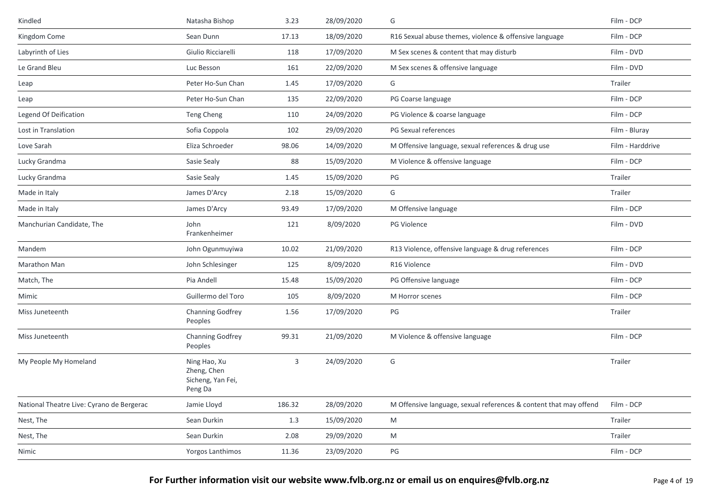| Kindled                                   | Natasha Bishop                                              | 3.23   | 28/09/2020 | G                                                                 | Film - DCP       |
|-------------------------------------------|-------------------------------------------------------------|--------|------------|-------------------------------------------------------------------|------------------|
| Kingdom Come                              | Sean Dunn                                                   | 17.13  | 18/09/2020 | R16 Sexual abuse themes, violence & offensive language            | Film - DCP       |
| Labyrinth of Lies                         | Giulio Ricciarelli                                          | 118    | 17/09/2020 | M Sex scenes & content that may disturb                           | Film - DVD       |
| Le Grand Bleu                             | Luc Besson                                                  | 161    | 22/09/2020 | M Sex scenes & offensive language                                 | Film - DVD       |
| Leap                                      | Peter Ho-Sun Chan                                           | 1.45   | 17/09/2020 | G                                                                 | Trailer          |
| Leap                                      | Peter Ho-Sun Chan                                           | 135    | 22/09/2020 | PG Coarse language                                                | Film - DCP       |
| Legend Of Deification                     | Teng Cheng                                                  | 110    | 24/09/2020 | PG Violence & coarse language                                     | Film - DCP       |
| Lost in Translation                       | Sofia Coppola                                               | 102    | 29/09/2020 | PG Sexual references                                              | Film - Bluray    |
| Love Sarah                                | Eliza Schroeder                                             | 98.06  | 14/09/2020 | M Offensive language, sexual references & drug use                | Film - Harddrive |
| Lucky Grandma                             | Sasie Sealy                                                 | 88     | 15/09/2020 | M Violence & offensive language                                   | Film - DCP       |
| Lucky Grandma                             | Sasie Sealy                                                 | 1.45   | 15/09/2020 | PG                                                                | Trailer          |
| Made in Italy                             | James D'Arcy                                                | 2.18   | 15/09/2020 | G                                                                 | Trailer          |
| Made in Italy                             | James D'Arcy                                                | 93.49  | 17/09/2020 | M Offensive language                                              | Film - DCP       |
| Manchurian Candidate, The                 | John<br>Frankenheimer                                       | 121    | 8/09/2020  | PG Violence                                                       | Film - DVD       |
| Mandem                                    | John Ogunmuyiwa                                             | 10.02  | 21/09/2020 | R13 Violence, offensive language & drug references                | Film - DCP       |
| Marathon Man                              | John Schlesinger                                            | 125    | 8/09/2020  | R16 Violence                                                      | Film - DVD       |
| Match, The                                | Pia Andell                                                  | 15.48  | 15/09/2020 | PG Offensive language                                             | Film - DCP       |
| Mimic                                     | Guillermo del Toro                                          | 105    | 8/09/2020  | M Horror scenes                                                   | Film - DCP       |
| Miss Juneteenth                           | Channing Godfrey<br>Peoples                                 | 1.56   | 17/09/2020 | PG                                                                | Trailer          |
| Miss Juneteenth                           | Channing Godfrey<br>Peoples                                 | 99.31  | 21/09/2020 | M Violence & offensive language                                   | Film - DCP       |
| My People My Homeland                     | Ning Hao, Xu<br>Zheng, Chen<br>Sicheng, Yan Fei,<br>Peng Da | 3      | 24/09/2020 | G                                                                 | Trailer          |
| National Theatre Live: Cyrano de Bergerac | Jamie Lloyd                                                 | 186.32 | 28/09/2020 | M Offensive language, sexual references & content that may offend | Film - DCP       |
| Nest, The                                 | Sean Durkin                                                 | 1.3    | 15/09/2020 | M                                                                 | Trailer          |
| Nest, The                                 | Sean Durkin                                                 | 2.08   | 29/09/2020 | M                                                                 | Trailer          |
| Nimic                                     | Yorgos Lanthimos                                            | 11.36  | 23/09/2020 | PG                                                                | Film - DCP       |

**For Further information visit our website www.fvlb.org.nz or email us on enquires@fvlb.org.nz** Page 4 of 19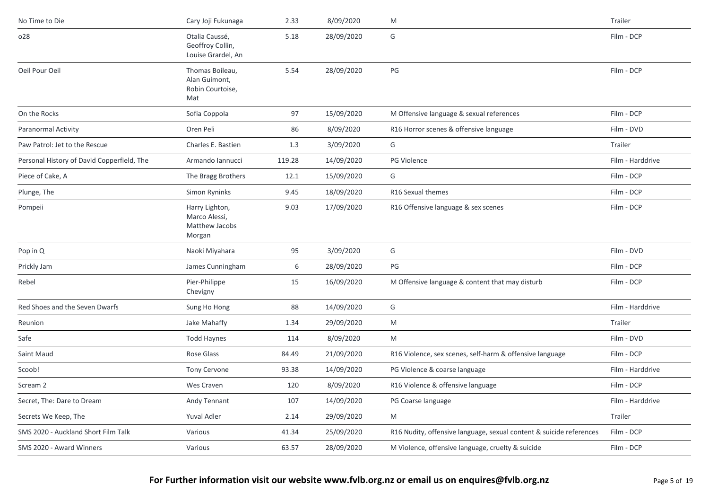| No Time to Die                             | Cary Joji Fukunaga                                          | 2.33   | 8/09/2020  | M                                                                   | Trailer          |
|--------------------------------------------|-------------------------------------------------------------|--------|------------|---------------------------------------------------------------------|------------------|
| o28                                        | Otalia Caussé,<br>Geoffroy Collin,<br>Louise Grardel, An    | 5.18   | 28/09/2020 | G                                                                   | Film - DCP       |
| Oeil Pour Oeil                             | Thomas Boileau,<br>Alan Guimont,<br>Robin Courtoise,<br>Mat | 5.54   | 28/09/2020 | $\mathsf{PG}$                                                       | Film - DCP       |
| On the Rocks                               | Sofia Coppola                                               | 97     | 15/09/2020 | M Offensive language & sexual references                            | Film - DCP       |
| Paranormal Activity                        | Oren Peli                                                   | 86     | 8/09/2020  | R16 Horror scenes & offensive language                              | Film - DVD       |
| Paw Patrol: Jet to the Rescue              | Charles E. Bastien                                          | 1.3    | 3/09/2020  | G                                                                   | Trailer          |
| Personal History of David Copperfield, The | Armando Iannucci                                            | 119.28 | 14/09/2020 | PG Violence                                                         | Film - Harddrive |
| Piece of Cake, A                           | The Bragg Brothers                                          | 12.1   | 15/09/2020 | G                                                                   | Film - DCP       |
| Plunge, The                                | Simon Ryninks                                               | 9.45   | 18/09/2020 | R16 Sexual themes                                                   | Film - DCP       |
| Pompeii                                    | Harry Lighton,<br>Marco Alessi,<br>Matthew Jacobs<br>Morgan | 9.03   | 17/09/2020 | R16 Offensive language & sex scenes                                 | Film - DCP       |
| Pop in Q                                   | Naoki Miyahara                                              | 95     | 3/09/2020  | G                                                                   | Film - DVD       |
| Prickly Jam                                | James Cunningham                                            | 6      | 28/09/2020 | PG                                                                  | Film - DCP       |
| Rebel                                      | Pier-Philippe<br>Chevigny                                   | 15     | 16/09/2020 | M Offensive language & content that may disturb                     | Film - DCP       |
| Red Shoes and the Seven Dwarfs             | Sung Ho Hong                                                | 88     | 14/09/2020 | G                                                                   | Film - Harddrive |
| Reunion                                    | Jake Mahaffy                                                | 1.34   | 29/09/2020 | M                                                                   | Trailer          |
| Safe                                       | <b>Todd Haynes</b>                                          | 114    | 8/09/2020  | M                                                                   | Film - DVD       |
| Saint Maud                                 | Rose Glass                                                  | 84.49  | 21/09/2020 | R16 Violence, sex scenes, self-harm & offensive language            | Film - DCP       |
| Scoob!                                     | <b>Tony Cervone</b>                                         | 93.38  | 14/09/2020 | PG Violence & coarse language                                       | Film - Harddrive |
| Scream 2                                   | Wes Craven                                                  | 120    | 8/09/2020  | R16 Violence & offensive language                                   | Film - DCP       |
| Secret, The: Dare to Dream                 | Andy Tennant                                                | 107    | 14/09/2020 | PG Coarse language                                                  | Film - Harddrive |
| Secrets We Keep, The                       | Yuval Adler                                                 | 2.14   | 29/09/2020 | M                                                                   | Trailer          |
| SMS 2020 - Auckland Short Film Talk        | Various                                                     | 41.34  | 25/09/2020 | R16 Nudity, offensive language, sexual content & suicide references | Film - DCP       |
| SMS 2020 - Award Winners                   | Various                                                     | 63.57  | 28/09/2020 | M Violence, offensive language, cruelty & suicide                   | Film - DCP       |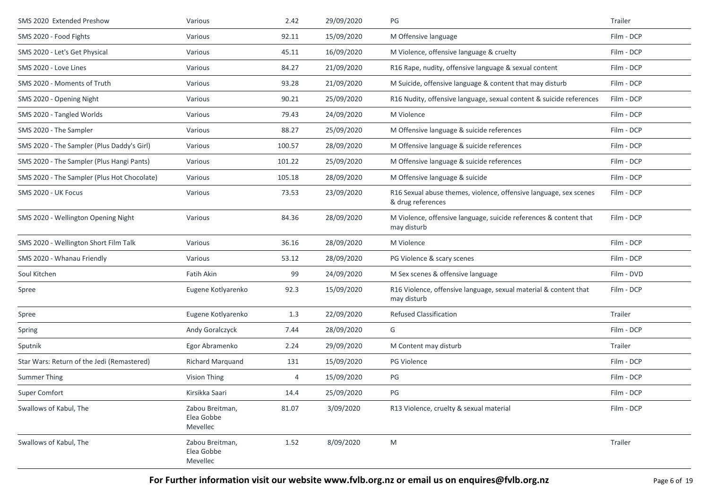| SMS 2020 Extended Preshow                   | Various                                   | 2.42   | 29/09/2020 | PG                                                                                     | Trailer    |
|---------------------------------------------|-------------------------------------------|--------|------------|----------------------------------------------------------------------------------------|------------|
| SMS 2020 - Food Fights                      | Various                                   | 92.11  | 15/09/2020 | M Offensive language                                                                   | Film - DCP |
| SMS 2020 - Let's Get Physical               | Various                                   | 45.11  | 16/09/2020 | M Violence, offensive language & cruelty                                               | Film - DCP |
| SMS 2020 - Love Lines                       | Various                                   | 84.27  | 21/09/2020 | R16 Rape, nudity, offensive language & sexual content                                  | Film - DCP |
| SMS 2020 - Moments of Truth                 | Various                                   | 93.28  | 21/09/2020 | M Suicide, offensive language & content that may disturb                               | Film - DCP |
| SMS 2020 - Opening Night                    | Various                                   | 90.21  | 25/09/2020 | R16 Nudity, offensive language, sexual content & suicide references                    | Film - DCP |
| SMS 2020 - Tangled Worlds                   | Various                                   | 79.43  | 24/09/2020 | M Violence                                                                             | Film - DCP |
| SMS 2020 - The Sampler                      | Various                                   | 88.27  | 25/09/2020 | M Offensive language & suicide references                                              | Film - DCP |
| SMS 2020 - The Sampler (Plus Daddy's Girl)  | Various                                   | 100.57 | 28/09/2020 | M Offensive language & suicide references                                              | Film - DCP |
| SMS 2020 - The Sampler (Plus Hangi Pants)   | Various                                   | 101.22 | 25/09/2020 | M Offensive language & suicide references                                              | Film - DCP |
| SMS 2020 - The Sampler (Plus Hot Chocolate) | Various                                   | 105.18 | 28/09/2020 | M Offensive language & suicide                                                         | Film - DCP |
| SMS 2020 - UK Focus                         | Various                                   | 73.53  | 23/09/2020 | R16 Sexual abuse themes, violence, offensive language, sex scenes<br>& drug references | Film - DCP |
| SMS 2020 - Wellington Opening Night         | Various                                   | 84.36  | 28/09/2020 | M Violence, offensive language, suicide references & content that<br>may disturb       | Film - DCP |
| SMS 2020 - Wellington Short Film Talk       | Various                                   | 36.16  | 28/09/2020 | M Violence                                                                             | Film - DCP |
| SMS 2020 - Whanau Friendly                  | Various                                   | 53.12  | 28/09/2020 | PG Violence & scary scenes                                                             | Film - DCP |
| Soul Kitchen                                | Fatih Akin                                | 99     | 24/09/2020 | M Sex scenes & offensive language                                                      | Film - DVD |
| Spree                                       | Eugene Kotlyarenko                        | 92.3   | 15/09/2020 | R16 Violence, offensive language, sexual material & content that<br>may disturb        | Film - DCP |
| Spree                                       | Eugene Kotlyarenko                        | 1.3    | 22/09/2020 | <b>Refused Classification</b>                                                          | Trailer    |
| Spring                                      | Andy Goralczyck                           | 7.44   | 28/09/2020 | G                                                                                      | Film - DCP |
| Sputnik                                     | Egor Abramenko                            | 2.24   | 29/09/2020 | M Content may disturb                                                                  | Trailer    |
| Star Wars: Return of the Jedi (Remastered)  | Richard Marquand                          | 131    | 15/09/2020 | PG Violence                                                                            | Film - DCP |
| Summer Thing                                | Vision Thing                              | 4      | 15/09/2020 | PG                                                                                     | Film - DCP |
| Super Comfort                               | Kirsikka Saari                            | 14.4   | 25/09/2020 | PG                                                                                     | Film - DCP |
| Swallows of Kabul, The                      | Zabou Breitman,<br>Elea Gobbe<br>Mevellec | 81.07  | 3/09/2020  | R13 Violence, cruelty & sexual material                                                | Film - DCP |
| Swallows of Kabul, The                      | Zabou Breitman,<br>Elea Gobbe<br>Mevellec | 1.52   | 8/09/2020  | M                                                                                      | Trailer    |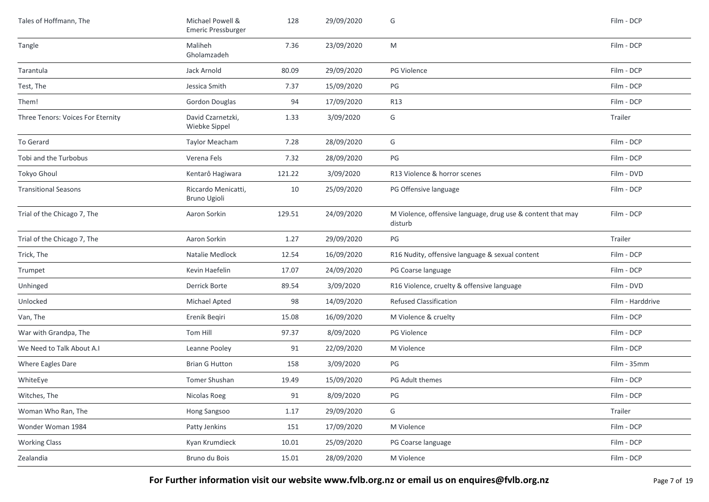| Tales of Hoffmann, The            | Michael Powell &<br>Emeric Pressburger | 128    | 29/09/2020 | G                                                                      | Film - DCP       |
|-----------------------------------|----------------------------------------|--------|------------|------------------------------------------------------------------------|------------------|
| Tangle                            | Maliheh<br>Gholamzadeh                 | 7.36   | 23/09/2020 | M                                                                      | Film - DCP       |
| Tarantula                         | Jack Arnold                            | 80.09  | 29/09/2020 | PG Violence                                                            | Film - DCP       |
| Test, The                         | Jessica Smith                          | 7.37   | 15/09/2020 | PG                                                                     | Film - DCP       |
| Them!                             | Gordon Douglas                         | 94     | 17/09/2020 | R13                                                                    | Film - DCP       |
| Three Tenors: Voices For Eternity | David Czarnetzki,<br>Wiebke Sippel     | 1.33   | 3/09/2020  | G                                                                      | Trailer          |
| To Gerard                         | <b>Taylor Meacham</b>                  | 7.28   | 28/09/2020 | G                                                                      | Film - DCP       |
| Tobi and the Turbobus             | Verena Fels                            | 7.32   | 28/09/2020 | PG                                                                     | Film - DCP       |
| Tokyo Ghoul                       | Kentarô Hagiwara                       | 121.22 | 3/09/2020  | R13 Violence & horror scenes                                           | Film - DVD       |
| <b>Transitional Seasons</b>       | Riccardo Menicatti,<br>Bruno Ugioli    | 10     | 25/09/2020 | PG Offensive language                                                  | Film - DCP       |
| Trial of the Chicago 7, The       | Aaron Sorkin                           | 129.51 | 24/09/2020 | M Violence, offensive language, drug use & content that may<br>disturb | Film - DCP       |
| Trial of the Chicago 7, The       | Aaron Sorkin                           | 1.27   | 29/09/2020 | PG                                                                     | Trailer          |
| Trick, The                        | Natalie Medlock                        | 12.54  | 16/09/2020 | R16 Nudity, offensive language & sexual content                        | Film - DCP       |
| Trumpet                           | Kevin Haefelin                         | 17.07  | 24/09/2020 | PG Coarse language                                                     | Film - DCP       |
| Unhinged                          | Derrick Borte                          | 89.54  | 3/09/2020  | R16 Violence, cruelty & offensive language                             | Film - DVD       |
| Unlocked                          | Michael Apted                          | 98     | 14/09/2020 | <b>Refused Classification</b>                                          | Film - Harddrive |
| Van, The                          | Erenik Begiri                          | 15.08  | 16/09/2020 | M Violence & cruelty                                                   | Film - DCP       |
| War with Grandpa, The             | Tom Hill                               | 97.37  | 8/09/2020  | PG Violence                                                            | Film - DCP       |
| We Need to Talk About A.I         | Leanne Pooley                          | 91     | 22/09/2020 | M Violence                                                             | Film - DCP       |
| Where Eagles Dare                 | <b>Brian G Hutton</b>                  | 158    | 3/09/2020  | PG                                                                     | Film - 35mm      |
| WhiteEye                          | Tomer Shushan                          | 19.49  | 15/09/2020 | PG Adult themes                                                        | Film - DCP       |
| Witches, The                      | Nicolas Roeg                           | 91     | 8/09/2020  | PG                                                                     | Film - DCP       |
| Woman Who Ran, The                | Hong Sangsoo                           | 1.17   | 29/09/2020 | G                                                                      | Trailer          |
| Wonder Woman 1984                 | Patty Jenkins                          | 151    | 17/09/2020 | M Violence                                                             | Film - DCP       |
| <b>Working Class</b>              | Kyan Krumdieck                         | 10.01  | 25/09/2020 | PG Coarse language                                                     | Film - DCP       |
| Zealandia                         | Bruno du Bois                          | 15.01  | 28/09/2020 | M Violence                                                             | Film - DCP       |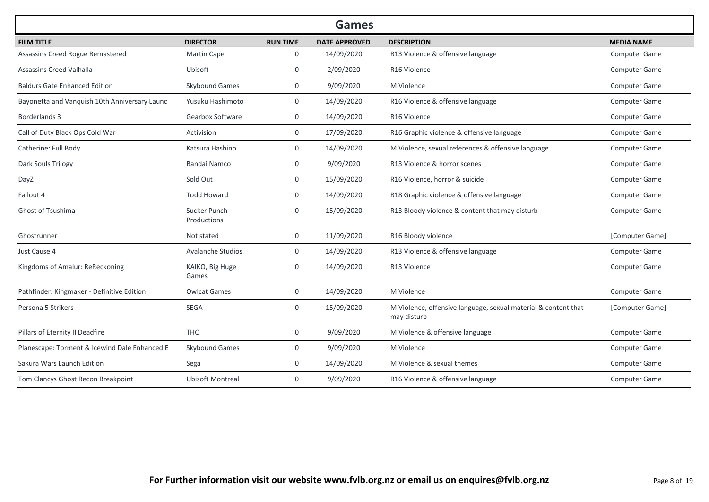|                                               |                                    |                 | <b>Games</b>         |                                                                               |                      |
|-----------------------------------------------|------------------------------------|-----------------|----------------------|-------------------------------------------------------------------------------|----------------------|
| <b>FILM TITLE</b>                             | <b>DIRECTOR</b>                    | <b>RUN TIME</b> | <b>DATE APPROVED</b> | <b>DESCRIPTION</b>                                                            | <b>MEDIA NAME</b>    |
| Assassins Creed Rogue Remastered              | <b>Martin Capel</b>                | 0               | 14/09/2020           | R13 Violence & offensive language                                             | Computer Game        |
| Assassins Creed Valhalla                      | Ubisoft                            | $\mathbf 0$     | 2/09/2020            | R16 Violence                                                                  | Computer Game        |
| <b>Baldurs Gate Enhanced Edition</b>          | Skybound Games                     | $\overline{0}$  | 9/09/2020            | M Violence                                                                    | <b>Computer Game</b> |
| Bayonetta and Vanquish 10th Anniversary Launc | Yusuku Hashimoto                   | $\mathbf 0$     | 14/09/2020           | R16 Violence & offensive language                                             | Computer Game        |
| Borderlands 3                                 | Gearbox Software                   | $\mathbf{0}$    | 14/09/2020           | R <sub>16</sub> Violence                                                      | Computer Game        |
| Call of Duty Black Ops Cold War               | Activision                         | 0               | 17/09/2020           | R16 Graphic violence & offensive language                                     | Computer Game        |
| Catherine: Full Body                          | Katsura Hashino                    | $\mathbf 0$     | 14/09/2020           | M Violence, sexual references & offensive language                            | Computer Game        |
| Dark Souls Trilogy                            | Bandai Namco                       | $\overline{0}$  | 9/09/2020            | R13 Violence & horror scenes                                                  | Computer Game        |
| DayZ                                          | Sold Out                           | $\mathbf{0}$    | 15/09/2020           | R16 Violence, horror & suicide                                                | Computer Game        |
| Fallout 4                                     | <b>Todd Howard</b>                 | $\overline{0}$  | 14/09/2020           | R18 Graphic violence & offensive language                                     | Computer Game        |
| Ghost of Tsushima                             | <b>Sucker Punch</b><br>Productions | $\mathbf 0$     | 15/09/2020           | R13 Bloody violence & content that may disturb                                | Computer Game        |
| Ghostrunner                                   | Not stated                         | $\overline{0}$  | 11/09/2020           | R16 Bloody violence                                                           | [Computer Game]      |
| Just Cause 4                                  | <b>Avalanche Studios</b>           | $\mathbf 0$     | 14/09/2020           | R13 Violence & offensive language                                             | Computer Game        |
| Kingdoms of Amalur: ReReckoning               | KAIKO, Big Huge<br>Games           | $\mathbf 0$     | 14/09/2020           | R13 Violence                                                                  | Computer Game        |
| Pathfinder: Kingmaker - Definitive Edition    | <b>Owlcat Games</b>                | $\mathbf 0$     | 14/09/2020           | M Violence                                                                    | Computer Game        |
| Persona 5 Strikers                            | <b>SEGA</b>                        | $\mathbf 0$     | 15/09/2020           | M Violence, offensive language, sexual material & content that<br>may disturb | [Computer Game]      |
| Pillars of Eternity II Deadfire               | <b>THQ</b>                         | $\mathbf 0$     | 9/09/2020            | M Violence & offensive language                                               | Computer Game        |
| Planescape: Torment & Icewind Dale Enhanced E | Skybound Games                     | $\mathbf 0$     | 9/09/2020            | M Violence                                                                    | Computer Game        |
| Sakura Wars Launch Edition                    | Sega                               | 0               | 14/09/2020           | M Violence & sexual themes                                                    | Computer Game        |
| Tom Clancys Ghost Recon Breakpoint            | <b>Ubisoft Montreal</b>            | $\mathbf{0}$    | 9/09/2020            | R16 Violence & offensive language                                             | Computer Game        |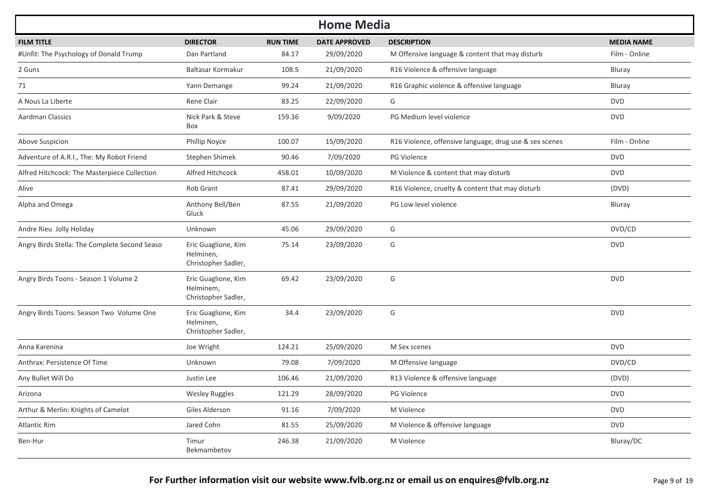| <b>Home Media</b>                             |                                                         |                 |                      |                                                         |                   |  |  |  |
|-----------------------------------------------|---------------------------------------------------------|-----------------|----------------------|---------------------------------------------------------|-------------------|--|--|--|
| <b>FILM TITLE</b>                             | <b>DIRECTOR</b>                                         | <b>RUN TIME</b> | <b>DATE APPROVED</b> | <b>DESCRIPTION</b>                                      | <b>MEDIA NAME</b> |  |  |  |
| #Unfit: The Psychology of Donald Trump        | Dan Partland                                            | 84.17           | 29/09/2020           | M Offensive language & content that may disturb         | Film - Online     |  |  |  |
| 2 Guns                                        | Baltasar Kormakur                                       | 108.5           | 21/09/2020           | R16 Violence & offensive language                       | Bluray            |  |  |  |
| 71                                            | Yann Demange                                            | 99.24           | 21/09/2020           | R16 Graphic violence & offensive language               | Bluray            |  |  |  |
| A Nous La Liberte                             | Rene Clair                                              | 83.25           | 22/09/2020           | G                                                       | <b>DVD</b>        |  |  |  |
| <b>Aardman Classics</b>                       | Nick Park & Steve<br>Box                                | 159.36          | 9/09/2020            | PG Medium level violence                                | <b>DVD</b>        |  |  |  |
| Above Suspicion                               | Phillip Noyce                                           | 100.07          | 15/09/2020           | R16 Violence, offensive language, drug use & sex scenes | Film - Online     |  |  |  |
| Adventure of A.R.I., The: My Robot Friend     | Stephen Shimek                                          | 90.46           | 7/09/2020            | <b>PG Violence</b>                                      | <b>DVD</b>        |  |  |  |
| Alfred Hitchcock: The Masterpiece Collection  | Alfred Hitchcock                                        | 458.01          | 10/09/2020           | M Violence & content that may disturb                   | <b>DVD</b>        |  |  |  |
| Alive                                         | Rob Grant                                               | 87.41           | 29/09/2020           | R16 Violence, cruelty & content that may disturb        | (DVD)             |  |  |  |
| Alpha and Omega                               | Anthony Bell/Ben<br>Gluck                               | 87.55           | 21/09/2020           | PG Low level violence                                   | Bluray            |  |  |  |
| Andre Rieu Jolly Holiday                      | Unknown                                                 | 45.06           | 29/09/2020           | G                                                       | DVD/CD            |  |  |  |
| Angry Birds Stella: The Complete Second Seaso | Eric Guaglione, Kim<br>Helminen,<br>Christopher Sadler, | 75.14           | 23/09/2020           | G                                                       | <b>DVD</b>        |  |  |  |
| Angry Birds Toons - Season 1 Volume 2         | Eric Guaglione, Kim<br>Helminem,<br>Christopher Sadler, | 69.42           | 23/09/2020           | G                                                       | <b>DVD</b>        |  |  |  |
| Angry Birds Toons: Season Two Volume One      | Eric Guaglione, Kim<br>Helminen,<br>Christopher Sadler, | 34.4            | 23/09/2020           | G                                                       | <b>DVD</b>        |  |  |  |
| Anna Karenina                                 | Joe Wright                                              | 124.21          | 25/09/2020           | M Sex scenes                                            | <b>DVD</b>        |  |  |  |
| Anthrax: Persistence Of Time                  | Unknown                                                 | 79.08           | 7/09/2020            | M Offensive language                                    | DVD/CD            |  |  |  |
| Any Bullet Will Do                            | Justin Lee                                              | 106.46          | 21/09/2020           | R13 Violence & offensive language                       | (DVD)             |  |  |  |
| Arizona                                       | <b>Wesley Ruggles</b>                                   | 121.29          | 28/09/2020           | PG Violence                                             | <b>DVD</b>        |  |  |  |
| Arthur & Merlin: Knights of Camelot           | Giles Alderson                                          | 91.16           | 7/09/2020            | M Violence                                              | <b>DVD</b>        |  |  |  |
| <b>Atlantic Rim</b>                           | Jared Cohn                                              | 81.55           | 25/09/2020           | M Violence & offensive language                         | <b>DVD</b>        |  |  |  |
| Ben-Hur                                       | Timur<br>Bekmambetov                                    | 246.38          | 21/09/2020           | M Violence                                              | Bluray/DC         |  |  |  |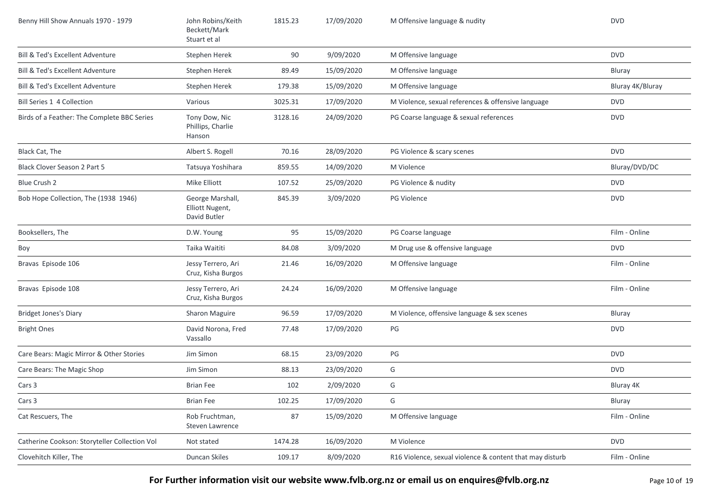| Benny Hill Show Annuals 1970 - 1979           | John Robins/Keith<br>Beckett/Mark<br>Stuart et al   | 1815.23 | 17/09/2020 | M Offensive language & nudity                            | <b>DVD</b>       |
|-----------------------------------------------|-----------------------------------------------------|---------|------------|----------------------------------------------------------|------------------|
| <b>Bill &amp; Ted's Excellent Adventure</b>   | Stephen Herek                                       | 90      | 9/09/2020  | M Offensive language                                     | <b>DVD</b>       |
| Bill & Ted's Excellent Adventure              | Stephen Herek                                       | 89.49   | 15/09/2020 | M Offensive language                                     | <b>Bluray</b>    |
| <b>Bill &amp; Ted's Excellent Adventure</b>   | Stephen Herek                                       | 179.38  | 15/09/2020 | M Offensive language                                     | Bluray 4K/Bluray |
| Bill Series 1 4 Collection                    | Various                                             | 3025.31 | 17/09/2020 | M Violence, sexual references & offensive language       | <b>DVD</b>       |
| Birds of a Feather: The Complete BBC Series   | Tony Dow, Nic<br>Phillips, Charlie<br>Hanson        | 3128.16 | 24/09/2020 | PG Coarse language & sexual references                   | <b>DVD</b>       |
| Black Cat, The                                | Albert S. Rogell                                    | 70.16   | 28/09/2020 | PG Violence & scary scenes                               | <b>DVD</b>       |
| <b>Black Clover Season 2 Part 5</b>           | Tatsuya Yoshihara                                   | 859.55  | 14/09/2020 | M Violence                                               | Bluray/DVD/DC    |
| Blue Crush 2                                  | Mike Elliott                                        | 107.52  | 25/09/2020 | PG Violence & nudity                                     | <b>DVD</b>       |
| Bob Hope Collection, The (1938 1946)          | George Marshall,<br>Elliott Nugent,<br>David Butler | 845.39  | 3/09/2020  | <b>PG Violence</b>                                       | <b>DVD</b>       |
| Booksellers, The                              | D.W. Young                                          | 95      | 15/09/2020 | PG Coarse language                                       | Film - Online    |
| Boy                                           | Taika Waititi                                       | 84.08   | 3/09/2020  | M Drug use & offensive language                          | <b>DVD</b>       |
| Bravas Episode 106                            | Jessy Terrero, Ari<br>Cruz, Kisha Burgos            | 21.46   | 16/09/2020 | M Offensive language                                     | Film - Online    |
| Bravas Episode 108                            | Jessy Terrero, Ari<br>Cruz, Kisha Burgos            | 24.24   | 16/09/2020 | M Offensive language                                     | Film - Online    |
| <b>Bridget Jones's Diary</b>                  | Sharon Maguire                                      | 96.59   | 17/09/2020 | M Violence, offensive language & sex scenes              | Bluray           |
| <b>Bright Ones</b>                            | David Norona, Fred<br>Vassallo                      | 77.48   | 17/09/2020 | $PG$                                                     | <b>DVD</b>       |
| Care Bears: Magic Mirror & Other Stories      | Jim Simon                                           | 68.15   | 23/09/2020 | PG                                                       | <b>DVD</b>       |
| Care Bears: The Magic Shop                    | Jim Simon                                           | 88.13   | 23/09/2020 | G                                                        | <b>DVD</b>       |
| Cars 3                                        | <b>Brian Fee</b>                                    | 102     | 2/09/2020  | G                                                        | Bluray 4K        |
| Cars 3                                        | <b>Brian Fee</b>                                    | 102.25  | 17/09/2020 | G                                                        | Bluray           |
| Cat Rescuers, The                             | Rob Fruchtman,<br>Steven Lawrence                   | 87      | 15/09/2020 | M Offensive language                                     | Film - Online    |
| Catherine Cookson: Storyteller Collection Vol | Not stated                                          | 1474.28 | 16/09/2020 | M Violence                                               | <b>DVD</b>       |
| Clovehitch Killer, The                        | Duncan Skiles                                       | 109.17  | 8/09/2020  | R16 Violence, sexual violence & content that may disturb | Film - Online    |

**For Further information visit our website www.fvlb.org.nz or email us on enquires@fvlb.org.nz** Page 10 of 19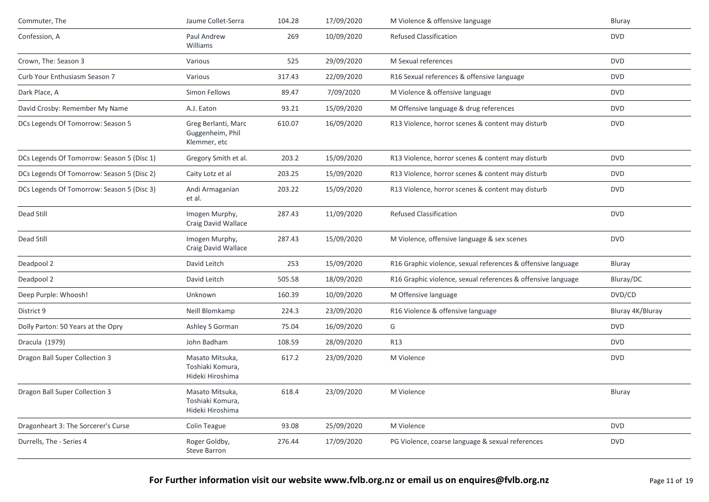| Commuter, The                              | Jaume Collet-Serra                                      | 104.28 | 17/09/2020 | M Violence & offensive language                              | Bluray           |
|--------------------------------------------|---------------------------------------------------------|--------|------------|--------------------------------------------------------------|------------------|
| Confession, A                              | Paul Andrew<br>Williams                                 | 269    | 10/09/2020 | <b>Refused Classification</b>                                | <b>DVD</b>       |
| Crown, The: Season 3                       | Various                                                 | 525    | 29/09/2020 | M Sexual references                                          | <b>DVD</b>       |
| Curb Your Enthusiasm Season 7              | Various                                                 | 317.43 | 22/09/2020 | R16 Sexual references & offensive language                   | <b>DVD</b>       |
| Dark Place, A                              | Simon Fellows                                           | 89.47  | 7/09/2020  | M Violence & offensive language                              | <b>DVD</b>       |
| David Crosby: Remember My Name             | A.J. Eaton                                              | 93.21  | 15/09/2020 | M Offensive language & drug references                       | <b>DVD</b>       |
| DCs Legends Of Tomorrow: Season 5          | Greg Berlanti, Marc<br>Guggenheim, Phil<br>Klemmer, etc | 610.07 | 16/09/2020 | R13 Violence, horror scenes & content may disturb            | <b>DVD</b>       |
| DCs Legends Of Tomorrow: Season 5 (Disc 1) | Gregory Smith et al.                                    | 203.2  | 15/09/2020 | R13 Violence, horror scenes & content may disturb            | <b>DVD</b>       |
| DCs Legends Of Tomorrow: Season 5 (Disc 2) | Caity Lotz et al                                        | 203.25 | 15/09/2020 | R13 Violence, horror scenes & content may disturb            | <b>DVD</b>       |
| DCs Legends Of Tomorrow: Season 5 (Disc 3) | Andi Armaganian<br>et al.                               | 203.22 | 15/09/2020 | R13 Violence, horror scenes & content may disturb            | <b>DVD</b>       |
| Dead Still                                 | Imogen Murphy,<br>Craig David Wallace                   | 287.43 | 11/09/2020 | <b>Refused Classification</b>                                | <b>DVD</b>       |
| Dead Still                                 | Imogen Murphy,<br>Craig David Wallace                   | 287.43 | 15/09/2020 | M Violence, offensive language & sex scenes                  | <b>DVD</b>       |
| Deadpool 2                                 | David Leitch                                            | 253    | 15/09/2020 | R16 Graphic violence, sexual references & offensive language | Bluray           |
| Deadpool 2                                 | David Leitch                                            | 505.58 | 18/09/2020 | R16 Graphic violence, sexual references & offensive language | Bluray/DC        |
| Deep Purple: Whoosh!                       | Unknown                                                 | 160.39 | 10/09/2020 | M Offensive language                                         | DVD/CD           |
| District 9                                 | Neill Blomkamp                                          | 224.3  | 23/09/2020 | R16 Violence & offensive language                            | Bluray 4K/Bluray |
| Dolly Parton: 50 Years at the Opry         | Ashley S Gorman                                         | 75.04  | 16/09/2020 | G                                                            | <b>DVD</b>       |
| Dracula (1979)                             | John Badham                                             | 108.59 | 28/09/2020 | R13                                                          | <b>DVD</b>       |
| Dragon Ball Super Collection 3             | Masato Mitsuka,<br>Toshiaki Komura,<br>Hideki Hiroshima | 617.2  | 23/09/2020 | M Violence                                                   | <b>DVD</b>       |
| Dragon Ball Super Collection 3             | Masato Mitsuka,<br>Toshiaki Komura,<br>Hideki Hiroshima | 618.4  | 23/09/2020 | M Violence                                                   | Bluray           |
| Dragonheart 3: The Sorcerer's Curse        | Colin Teague                                            | 93.08  | 25/09/2020 | M Violence                                                   | <b>DVD</b>       |
| Durrells, The - Series 4                   | Roger Goldby,<br>Steve Barron                           | 276.44 | 17/09/2020 | PG Violence, coarse language & sexual references             | <b>DVD</b>       |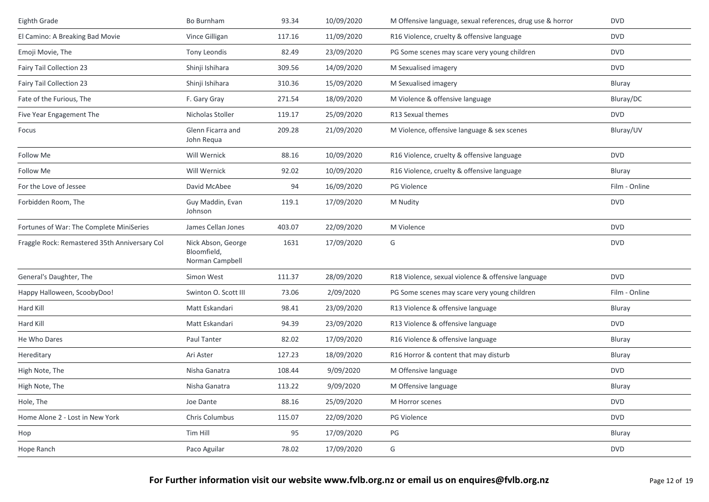| Eighth Grade                                  | Bo Burnham                                           | 93.34  | 10/09/2020 | M Offensive language, sexual references, drug use & horror | <b>DVD</b>    |
|-----------------------------------------------|------------------------------------------------------|--------|------------|------------------------------------------------------------|---------------|
| El Camino: A Breaking Bad Movie               | Vince Gilligan                                       | 117.16 | 11/09/2020 | R16 Violence, cruelty & offensive language                 | <b>DVD</b>    |
| Emoji Movie, The                              | Tony Leondis                                         | 82.49  | 23/09/2020 | PG Some scenes may scare very young children               | <b>DVD</b>    |
| <b>Fairy Tail Collection 23</b>               | Shinji Ishihara                                      | 309.56 | 14/09/2020 | M Sexualised imagery                                       | <b>DVD</b>    |
| <b>Fairy Tail Collection 23</b>               | Shinji Ishihara                                      | 310.36 | 15/09/2020 | M Sexualised imagery                                       | Bluray        |
| Fate of the Furious, The                      | F. Gary Gray                                         | 271.54 | 18/09/2020 | M Violence & offensive language                            | Bluray/DC     |
| Five Year Engagement The                      | Nicholas Stoller                                     | 119.17 | 25/09/2020 | R13 Sexual themes                                          | <b>DVD</b>    |
| Focus                                         | Glenn Ficarra and<br>John Requa                      | 209.28 | 21/09/2020 | M Violence, offensive language & sex scenes                | Bluray/UV     |
| Follow Me                                     | Will Wernick                                         | 88.16  | 10/09/2020 | R16 Violence, cruelty & offensive language                 | <b>DVD</b>    |
| Follow Me                                     | Will Wernick                                         | 92.02  | 10/09/2020 | R16 Violence, cruelty & offensive language                 | Bluray        |
| For the Love of Jessee                        | David McAbee                                         | 94     | 16/09/2020 | <b>PG Violence</b>                                         | Film - Online |
| Forbidden Room, The                           | Guy Maddin, Evan<br>Johnson                          | 119.1  | 17/09/2020 | M Nudity                                                   | <b>DVD</b>    |
| Fortunes of War: The Complete MiniSeries      | James Cellan Jones                                   | 403.07 | 22/09/2020 | M Violence                                                 | <b>DVD</b>    |
| Fraggle Rock: Remastered 35th Anniversary Col | Nick Abson, George<br>Bloomfield,<br>Norman Campbell | 1631   | 17/09/2020 | G                                                          | <b>DVD</b>    |
| General's Daughter, The                       | Simon West                                           | 111.37 | 28/09/2020 | R18 Violence, sexual violence & offensive language         | <b>DVD</b>    |
| Happy Halloween, ScoobyDoo!                   | Swinton O. Scott III                                 | 73.06  | 2/09/2020  | PG Some scenes may scare very young children               | Film - Online |
| Hard Kill                                     | Matt Eskandari                                       | 98.41  | 23/09/2020 | R13 Violence & offensive language                          | Bluray        |
| Hard Kill                                     | Matt Eskandari                                       | 94.39  | 23/09/2020 | R13 Violence & offensive language                          | <b>DVD</b>    |
| He Who Dares                                  | Paul Tanter                                          | 82.02  | 17/09/2020 | R16 Violence & offensive language                          | Bluray        |
| Hereditary                                    | Ari Aster                                            | 127.23 | 18/09/2020 | R16 Horror & content that may disturb                      | Bluray        |
| High Note, The                                | Nisha Ganatra                                        | 108.44 | 9/09/2020  | M Offensive language                                       | <b>DVD</b>    |
| High Note, The                                | Nisha Ganatra                                        | 113.22 | 9/09/2020  | M Offensive language                                       | Bluray        |
| Hole, The                                     | Joe Dante                                            | 88.16  | 25/09/2020 | M Horror scenes                                            | <b>DVD</b>    |
| Home Alone 2 - Lost in New York               | Chris Columbus                                       | 115.07 | 22/09/2020 | PG Violence                                                | <b>DVD</b>    |
| Hop                                           | Tim Hill                                             | 95     | 17/09/2020 | PG                                                         | Bluray        |
| Hope Ranch                                    | Paco Aguilar                                         | 78.02  | 17/09/2020 | G                                                          | <b>DVD</b>    |
|                                               |                                                      |        |            |                                                            |               |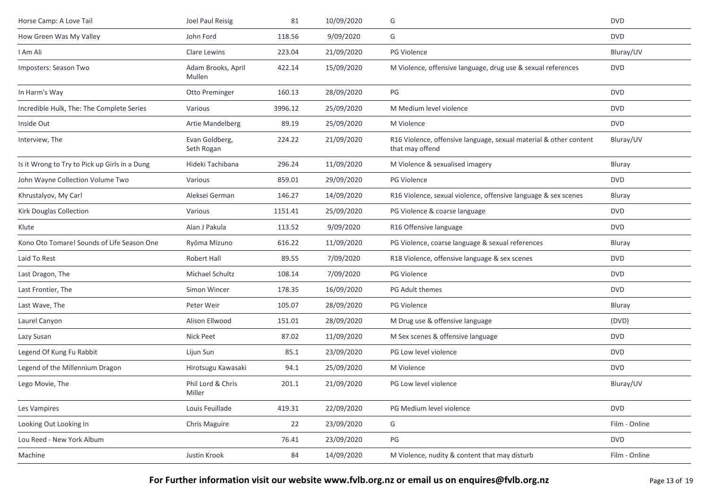| Horse Camp: A Love Tail                       | Joel Paul Reisig             | 81      | 10/09/2020 | G                                                                                    | <b>DVD</b>    |
|-----------------------------------------------|------------------------------|---------|------------|--------------------------------------------------------------------------------------|---------------|
| How Green Was My Valley                       | John Ford                    | 118.56  | 9/09/2020  | G                                                                                    | <b>DVD</b>    |
| I Am Ali                                      | Clare Lewins                 | 223.04  | 21/09/2020 | PG Violence                                                                          | Bluray/UV     |
| Imposters: Season Two                         | Adam Brooks, April<br>Mullen | 422.14  | 15/09/2020 | M Violence, offensive language, drug use & sexual references                         | <b>DVD</b>    |
| In Harm's Way                                 | Otto Preminger               | 160.13  | 28/09/2020 | PG                                                                                   | <b>DVD</b>    |
| Incredible Hulk, The: The Complete Series     | Various                      | 3996.12 | 25/09/2020 | M Medium level violence                                                              | <b>DVD</b>    |
| Inside Out                                    | Artie Mandelberg             | 89.19   | 25/09/2020 | M Violence                                                                           | <b>DVD</b>    |
| Interview, The                                | Evan Goldberg,<br>Seth Rogan | 224.22  | 21/09/2020 | R16 Violence, offensive language, sexual material & other content<br>that may offend | Bluray/UV     |
| Is it Wrong to Try to Pick up Girls in a Dung | Hideki Tachibana             | 296.24  | 11/09/2020 | M Violence & sexualised imagery                                                      | Bluray        |
| John Wayne Collection Volume Two              | Various                      | 859.01  | 29/09/2020 | PG Violence                                                                          | <b>DVD</b>    |
| Khrustalyov, My Car!                          | Aleksei German               | 146.27  | 14/09/2020 | R16 Violence, sexual violence, offensive language & sex scenes                       | Bluray        |
| Kirk Douglas Collection                       | Various                      | 1151.41 | 25/09/2020 | PG Violence & coarse language                                                        | <b>DVD</b>    |
| Klute                                         | Alan J Pakula                | 113.52  | 9/09/2020  | R16 Offensive language                                                               | <b>DVD</b>    |
| Kono Oto Tomare! Sounds of Life Season One    | Ryōma Mizuno                 | 616.22  | 11/09/2020 | PG Violence, coarse language & sexual references                                     | <b>Bluray</b> |
| Laid To Rest                                  | Robert Hall                  | 89.55   | 7/09/2020  | R18 Violence, offensive language & sex scenes                                        | <b>DVD</b>    |
| Last Dragon, The                              | Michael Schultz              | 108.14  | 7/09/2020  | PG Violence                                                                          | <b>DVD</b>    |
| Last Frontier, The                            | Simon Wincer                 | 178.35  | 16/09/2020 | PG Adult themes                                                                      | <b>DVD</b>    |
| Last Wave, The                                | Peter Weir                   | 105.07  | 28/09/2020 | <b>PG Violence</b>                                                                   | Bluray        |
| Laurel Canyon                                 | Alison Ellwood               | 151.01  | 28/09/2020 | M Drug use & offensive language                                                      | (DVD)         |
| Lazy Susan                                    | Nick Peet                    | 87.02   | 11/09/2020 | M Sex scenes & offensive language                                                    | <b>DVD</b>    |
| Legend Of Kung Fu Rabbit                      | Lijun Sun                    | 85.1    | 23/09/2020 | PG Low level violence                                                                | <b>DVD</b>    |
| Legend of the Millennium Dragon               | Hirotsugu Kawasaki           | 94.1    | 25/09/2020 | M Violence                                                                           | <b>DVD</b>    |
| Lego Movie, The                               | Phil Lord & Chris<br>Miller  | 201.1   | 21/09/2020 | PG Low level violence                                                                | Bluray/UV     |
| Les Vampires                                  | Louis Feuillade              | 419.31  | 22/09/2020 | PG Medium level violence                                                             | <b>DVD</b>    |
| Looking Out Looking In                        | Chris Maguire                | 22      | 23/09/2020 | G                                                                                    | Film - Online |
| Lou Reed - New York Album                     |                              | 76.41   | 23/09/2020 | PG                                                                                   | <b>DVD</b>    |
| Machine                                       | Justin Krook                 | 84      | 14/09/2020 | M Violence, nudity & content that may disturb                                        | Film - Online |

**For Further information visit our website www.fvlb.org.nz or email us on enquires@fvlb.org.nz** Page 13 of 19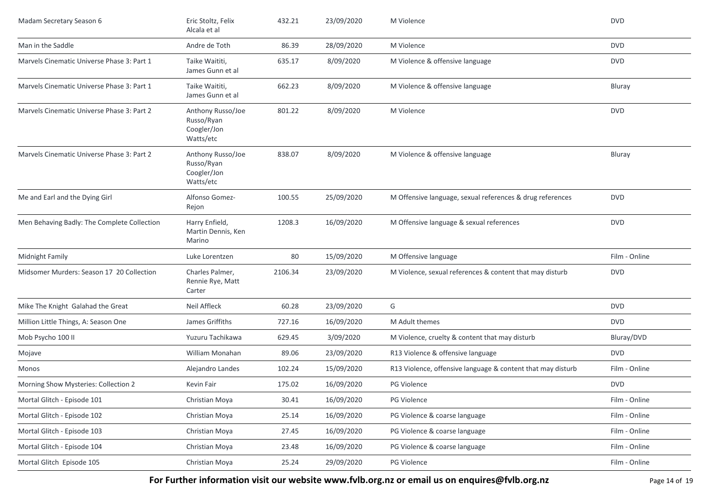| Madam Secretary Season 6                    | Eric Stoltz, Felix<br>Alcala et al                          | 432.21  | 23/09/2020 | M Violence                                                  | <b>DVD</b>    |
|---------------------------------------------|-------------------------------------------------------------|---------|------------|-------------------------------------------------------------|---------------|
| Man in the Saddle                           | Andre de Toth                                               | 86.39   | 28/09/2020 | M Violence                                                  | <b>DVD</b>    |
| Marvels Cinematic Universe Phase 3: Part 1  | Taike Waititi,<br>James Gunn et al                          | 635.17  | 8/09/2020  | M Violence & offensive language                             | <b>DVD</b>    |
| Marvels Cinematic Universe Phase 3: Part 1  | Taike Waititi,<br>James Gunn et al                          | 662.23  | 8/09/2020  | M Violence & offensive language                             | Bluray        |
| Marvels Cinematic Universe Phase 3: Part 2  | Anthony Russo/Joe<br>Russo/Ryan<br>Coogler/Jon<br>Watts/etc | 801.22  | 8/09/2020  | M Violence                                                  | <b>DVD</b>    |
| Marvels Cinematic Universe Phase 3: Part 2  | Anthony Russo/Joe<br>Russo/Ryan<br>Coogler/Jon<br>Watts/etc | 838.07  | 8/09/2020  | M Violence & offensive language                             | Bluray        |
| Me and Earl and the Dying Girl              | Alfonso Gomez-<br>Rejon                                     | 100.55  | 25/09/2020 | M Offensive language, sexual references & drug references   | <b>DVD</b>    |
| Men Behaving Badly: The Complete Collection | Harry Enfield,<br>Martin Dennis, Ken<br>Marino              | 1208.3  | 16/09/2020 | M Offensive language & sexual references                    | <b>DVD</b>    |
| Midnight Family                             | Luke Lorentzen                                              | 80      | 15/09/2020 | M Offensive language                                        | Film - Online |
| Midsomer Murders: Season 17 20 Collection   | Charles Palmer,<br>Rennie Rye, Matt<br>Carter               | 2106.34 | 23/09/2020 | M Violence, sexual references & content that may disturb    | <b>DVD</b>    |
| Mike The Knight Galahad the Great           | Neil Affleck                                                | 60.28   | 23/09/2020 | G                                                           | <b>DVD</b>    |
| Million Little Things, A: Season One        | James Griffiths                                             | 727.16  | 16/09/2020 | M Adult themes                                              | <b>DVD</b>    |
| Mob Psycho 100 II                           | Yuzuru Tachikawa                                            | 629.45  | 3/09/2020  | M Violence, cruelty & content that may disturb              | Bluray/DVD    |
| Mojave                                      | <b>William Monahan</b>                                      | 89.06   | 23/09/2020 | R13 Violence & offensive language                           | <b>DVD</b>    |
| Monos                                       | Alejandro Landes                                            | 102.24  | 15/09/2020 | R13 Violence, offensive language & content that may disturb | Film - Online |
| Morning Show Mysteries: Collection 2        | Kevin Fair                                                  | 175.02  | 16/09/2020 | <b>PG Violence</b>                                          | <b>DVD</b>    |
| Mortal Glitch - Episode 101                 | Christian Moya                                              | 30.41   | 16/09/2020 | PG Violence                                                 | Film - Online |
| Mortal Glitch - Episode 102                 | Christian Moya                                              | 25.14   | 16/09/2020 | PG Violence & coarse language                               | Film - Online |
| Mortal Glitch - Episode 103                 | Christian Moya                                              | 27.45   | 16/09/2020 | PG Violence & coarse language                               | Film - Online |
| Mortal Glitch - Episode 104                 | Christian Moya                                              | 23.48   | 16/09/2020 | PG Violence & coarse language                               | Film - Online |
| Mortal Glitch Episode 105                   | Christian Moya                                              | 25.24   | 29/09/2020 | PG Violence                                                 | Film - Online |

**For Further information visit our website www.fvlb.org.nz or email us on enquires@fvlb.org.nz** Page 14 of 19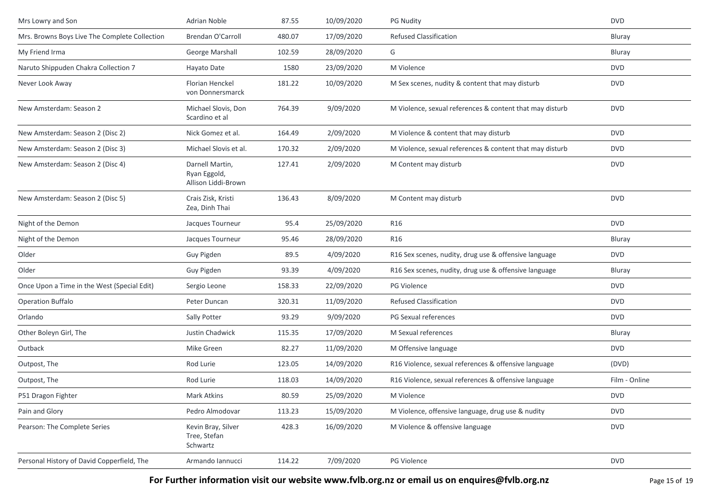| Mrs Lowry and Son                             | Adrian Noble                                           | 87.55  | 10/09/2020 | <b>PG Nudity</b>                                         | <b>DVD</b>    |
|-----------------------------------------------|--------------------------------------------------------|--------|------------|----------------------------------------------------------|---------------|
| Mrs. Browns Boys Live The Complete Collection | Brendan O'Carroll                                      | 480.07 | 17/09/2020 | <b>Refused Classification</b>                            | Bluray        |
| My Friend Irma                                | George Marshall                                        | 102.59 | 28/09/2020 | G                                                        | Bluray        |
| Naruto Shippuden Chakra Collection 7          | Hayato Date                                            | 1580   | 23/09/2020 | M Violence                                               | <b>DVD</b>    |
| Never Look Away                               | Florian Henckel<br>von Donnersmarck                    | 181.22 | 10/09/2020 | M Sex scenes, nudity & content that may disturb          | <b>DVD</b>    |
| New Amsterdam: Season 2                       | Michael Slovis, Don<br>Scardino et al                  | 764.39 | 9/09/2020  | M Violence, sexual references & content that may disturb | <b>DVD</b>    |
| New Amsterdam: Season 2 (Disc 2)              | Nick Gomez et al.                                      | 164.49 | 2/09/2020  | M Violence & content that may disturb                    | <b>DVD</b>    |
| New Amsterdam: Season 2 (Disc 3)              | Michael Slovis et al.                                  | 170.32 | 2/09/2020  | M Violence, sexual references & content that may disturb | <b>DVD</b>    |
| New Amsterdam: Season 2 (Disc 4)              | Darnell Martin,<br>Ryan Eggold,<br>Allison Liddi-Brown | 127.41 | 2/09/2020  | M Content may disturb                                    | <b>DVD</b>    |
| New Amsterdam: Season 2 (Disc 5)              | Crais Zisk, Kristi<br>Zea, Dinh Thai                   | 136.43 | 8/09/2020  | M Content may disturb                                    | <b>DVD</b>    |
| Night of the Demon                            | Jacques Tourneur                                       | 95.4   | 25/09/2020 | <b>R16</b>                                               | <b>DVD</b>    |
| Night of the Demon                            | Jacques Tourneur                                       | 95.46  | 28/09/2020 | R16                                                      | Bluray        |
| Older                                         | Guy Pigden                                             | 89.5   | 4/09/2020  | R16 Sex scenes, nudity, drug use & offensive language    | <b>DVD</b>    |
| Older                                         | Guy Pigden                                             | 93.39  | 4/09/2020  | R16 Sex scenes, nudity, drug use & offensive language    | <b>Bluray</b> |
| Once Upon a Time in the West (Special Edit)   | Sergio Leone                                           | 158.33 | 22/09/2020 | <b>PG Violence</b>                                       | <b>DVD</b>    |
| <b>Operation Buffalo</b>                      | Peter Duncan                                           | 320.31 | 11/09/2020 | <b>Refused Classification</b>                            | <b>DVD</b>    |
| Orlando                                       | Sally Potter                                           | 93.29  | 9/09/2020  | PG Sexual references                                     | <b>DVD</b>    |
| Other Boleyn Girl, The                        | Justin Chadwick                                        | 115.35 | 17/09/2020 | M Sexual references                                      | Bluray        |
| Outback                                       | Mike Green                                             | 82.27  | 11/09/2020 | M Offensive language                                     | <b>DVD</b>    |
| Outpost, The                                  | Rod Lurie                                              | 123.05 | 14/09/2020 | R16 Violence, sexual references & offensive language     | (DVD)         |
| Outpost, The                                  | Rod Lurie                                              | 118.03 | 14/09/2020 | R16 Violence, sexual references & offensive language     | Film - Online |
| P51 Dragon Fighter                            | Mark Atkins                                            | 80.59  | 25/09/2020 | M Violence                                               | <b>DVD</b>    |
| Pain and Glory                                | Pedro Almodovar                                        | 113.23 | 15/09/2020 | M Violence, offensive language, drug use & nudity        | <b>DVD</b>    |
| Pearson: The Complete Series                  | Kevin Bray, Silver<br>Tree, Stefan<br>Schwartz         | 428.3  | 16/09/2020 | M Violence & offensive language                          | <b>DVD</b>    |
| Personal History of David Copperfield, The    | Armando Iannucci                                       | 114.22 | 7/09/2020  | PG Violence                                              | <b>DVD</b>    |

**For Further information visit our website www.fvlb.org.nz or email us on enquires@fvlb.org.nz** Page 15 of 19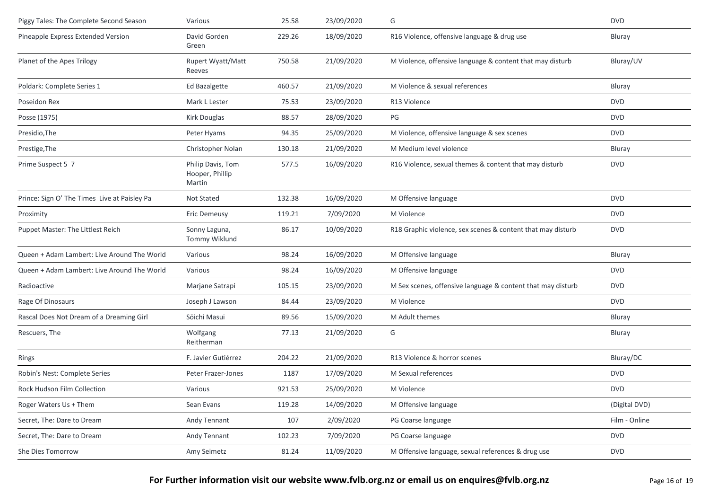| Piggy Tales: The Complete Second Season      | Various                                        | 25.58  | 23/09/2020 | G                                                           | <b>DVD</b>    |
|----------------------------------------------|------------------------------------------------|--------|------------|-------------------------------------------------------------|---------------|
| Pineapple Express Extended Version           | David Gorden<br>Green                          | 229.26 | 18/09/2020 | R16 Violence, offensive language & drug use                 | Bluray        |
| Planet of the Apes Trilogy                   | Rupert Wyatt/Matt<br>Reeves                    | 750.58 | 21/09/2020 | M Violence, offensive language & content that may disturb   | Bluray/UV     |
| Poldark: Complete Series 1                   | Ed Bazalgette                                  | 460.57 | 21/09/2020 | M Violence & sexual references                              | Bluray        |
| Poseidon Rex                                 | Mark L Lester                                  | 75.53  | 23/09/2020 | R13 Violence                                                | <b>DVD</b>    |
| Posse (1975)                                 | Kirk Douglas                                   | 88.57  | 28/09/2020 | PG                                                          | <b>DVD</b>    |
| Presidio, The                                | Peter Hyams                                    | 94.35  | 25/09/2020 | M Violence, offensive language & sex scenes                 | <b>DVD</b>    |
| Prestige, The                                | Christopher Nolan                              | 130.18 | 21/09/2020 | M Medium level violence                                     | Bluray        |
| Prime Suspect 5 7                            | Philip Davis, Tom<br>Hooper, Phillip<br>Martin | 577.5  | 16/09/2020 | R16 Violence, sexual themes & content that may disturb      | <b>DVD</b>    |
| Prince: Sign O' The Times Live at Paisley Pa | Not Stated                                     | 132.38 | 16/09/2020 | M Offensive language                                        | <b>DVD</b>    |
| Proximity                                    | Eric Demeusy                                   | 119.21 | 7/09/2020  | M Violence                                                  | <b>DVD</b>    |
| Puppet Master: The Littlest Reich            | Sonny Laguna,<br>Tommy Wiklund                 | 86.17  | 10/09/2020 | R18 Graphic violence, sex scenes & content that may disturb | <b>DVD</b>    |
| Queen + Adam Lambert: Live Around The World  | Various                                        | 98.24  | 16/09/2020 | M Offensive language                                        | Bluray        |
| Queen + Adam Lambert: Live Around The World  | Various                                        | 98.24  | 16/09/2020 | M Offensive language                                        | <b>DVD</b>    |
| Radioactive                                  | Marjane Satrapi                                | 105.15 | 23/09/2020 | M Sex scenes, offensive language & content that may disturb | <b>DVD</b>    |
| Rage Of Dinosaurs                            | Joseph J Lawson                                | 84.44  | 23/09/2020 | M Violence                                                  | <b>DVD</b>    |
| Rascal Does Not Dream of a Dreaming Girl     | Sōichi Masui                                   | 89.56  | 15/09/2020 | M Adult themes                                              | Bluray        |
| Rescuers, The                                | Wolfgang<br>Reitherman                         | 77.13  | 21/09/2020 | G                                                           | Bluray        |
| Rings                                        | F. Javier Gutiérrez                            | 204.22 | 21/09/2020 | R13 Violence & horror scenes                                | Bluray/DC     |
| Robin's Nest: Complete Series                | Peter Frazer-Jones                             | 1187   | 17/09/2020 | M Sexual references                                         | <b>DVD</b>    |
| Rock Hudson Film Collection                  | Various                                        | 921.53 | 25/09/2020 | M Violence                                                  | <b>DVD</b>    |
| Roger Waters Us + Them                       | Sean Evans                                     | 119.28 | 14/09/2020 | M Offensive language                                        | (Digital DVD) |
| Secret, The: Dare to Dream                   | Andy Tennant                                   | 107    | 2/09/2020  | PG Coarse language                                          | Film - Online |
| Secret, The: Dare to Dream                   | Andy Tennant                                   | 102.23 | 7/09/2020  | PG Coarse language                                          | <b>DVD</b>    |
| She Dies Tomorrow                            | Amy Seimetz                                    | 81.24  | 11/09/2020 | M Offensive language, sexual references & drug use          | DVD           |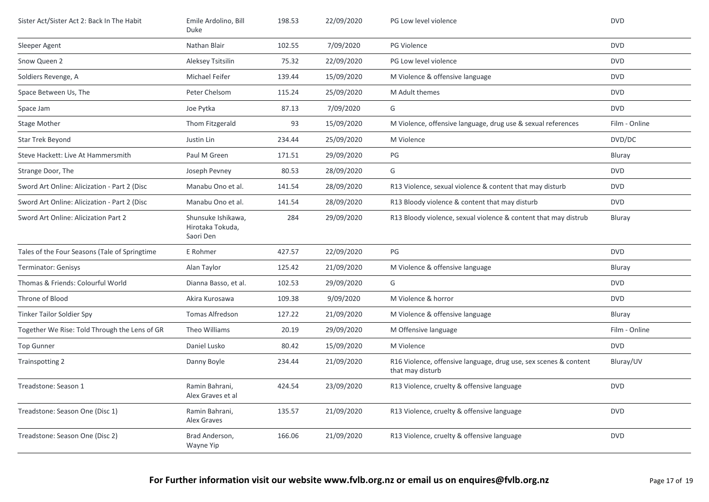| Sister Act/Sister Act 2: Back In The Habit    | Emile Ardolino, Bill<br><b>Duke</b>                 | 198.53 | 22/09/2020 | PG Low level violence                                                                | <b>DVD</b>    |
|-----------------------------------------------|-----------------------------------------------------|--------|------------|--------------------------------------------------------------------------------------|---------------|
| Sleeper Agent                                 | Nathan Blair                                        | 102.55 | 7/09/2020  | <b>PG Violence</b>                                                                   | <b>DVD</b>    |
| Snow Queen 2                                  | Aleksey Tsitsilin                                   | 75.32  | 22/09/2020 | PG Low level violence                                                                | <b>DVD</b>    |
| Soldiers Revenge, A                           | Michael Feifer                                      | 139.44 | 15/09/2020 | M Violence & offensive language                                                      | <b>DVD</b>    |
| Space Between Us, The                         | Peter Chelsom                                       | 115.24 | 25/09/2020 | M Adult themes                                                                       | <b>DVD</b>    |
| Space Jam                                     | Joe Pytka                                           | 87.13  | 7/09/2020  | G                                                                                    | <b>DVD</b>    |
| <b>Stage Mother</b>                           | Thom Fitzgerald                                     | 93     | 15/09/2020 | M Violence, offensive language, drug use & sexual references                         | Film - Online |
| Star Trek Beyond                              | Justin Lin                                          | 234.44 | 25/09/2020 | M Violence                                                                           | DVD/DC        |
| Steve Hackett: Live At Hammersmith            | Paul M Green                                        | 171.51 | 29/09/2020 | PG                                                                                   | Bluray        |
| Strange Door, The                             | Joseph Pevney                                       | 80.53  | 28/09/2020 | G                                                                                    | <b>DVD</b>    |
| Sword Art Online: Alicization - Part 2 (Disc  | Manabu Ono et al.                                   | 141.54 | 28/09/2020 | R13 Violence, sexual violence & content that may disturb                             | <b>DVD</b>    |
| Sword Art Online: Alicization - Part 2 (Disc  | Manabu Ono et al.                                   | 141.54 | 28/09/2020 | R13 Bloody violence & content that may disturb                                       | <b>DVD</b>    |
| Sword Art Online: Alicization Part 2          | Shunsuke Ishikawa,<br>Hirotaka Tokuda,<br>Saori Den | 284    | 29/09/2020 | R13 Bloody violence, sexual violence & content that may distrub                      | <b>Bluray</b> |
| Tales of the Four Seasons (Tale of Springtime | E Rohmer                                            | 427.57 | 22/09/2020 | PG                                                                                   | <b>DVD</b>    |
| <b>Terminator: Genisys</b>                    | Alan Taylor                                         | 125.42 | 21/09/2020 | M Violence & offensive language                                                      | Bluray        |
| Thomas & Friends: Colourful World             | Dianna Basso, et al.                                | 102.53 | 29/09/2020 | G                                                                                    | <b>DVD</b>    |
| Throne of Blood                               | Akira Kurosawa                                      | 109.38 | 9/09/2020  | M Violence & horror                                                                  | <b>DVD</b>    |
| Tinker Tailor Soldier Spy                     | <b>Tomas Alfredson</b>                              | 127.22 | 21/09/2020 | M Violence & offensive language                                                      | <b>Bluray</b> |
| Together We Rise: Told Through the Lens of GR | Theo Williams                                       | 20.19  | 29/09/2020 | M Offensive language                                                                 | Film - Online |
| <b>Top Gunner</b>                             | Daniel Lusko                                        | 80.42  | 15/09/2020 | M Violence                                                                           | <b>DVD</b>    |
| Trainspotting 2                               | Danny Boyle                                         | 234.44 | 21/09/2020 | R16 Violence, offensive language, drug use, sex scenes & content<br>that may disturb | Bluray/UV     |
| Treadstone: Season 1                          | Ramin Bahrani,<br>Alex Graves et al                 | 424.54 | 23/09/2020 | R13 Violence, cruelty & offensive language                                           | <b>DVD</b>    |
| Treadstone: Season One (Disc 1)               | Ramin Bahrani,<br><b>Alex Graves</b>                | 135.57 | 21/09/2020 | R13 Violence, cruelty & offensive language                                           | <b>DVD</b>    |
| Treadstone: Season One (Disc 2)               | Brad Anderson,<br>Wayne Yip                         | 166.06 | 21/09/2020 | R13 Violence, cruelty & offensive language                                           | <b>DVD</b>    |
|                                               |                                                     |        |            |                                                                                      |               |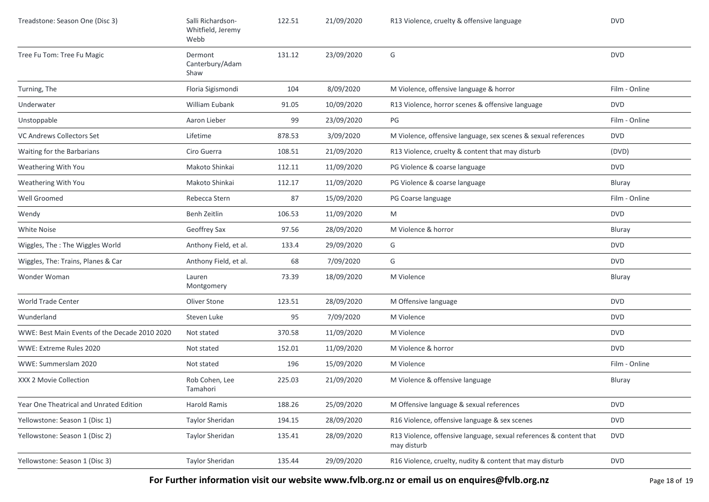| Treadstone: Season One (Disc 3)               | Salli Richardson-<br>Whitfield, Jeremy<br>Webb | 122.51 | 21/09/2020 | R13 Violence, cruelty & offensive language                                        | <b>DVD</b>    |
|-----------------------------------------------|------------------------------------------------|--------|------------|-----------------------------------------------------------------------------------|---------------|
| Tree Fu Tom: Tree Fu Magic                    | Dermont<br>Canterbury/Adam<br>Shaw             | 131.12 | 23/09/2020 | G                                                                                 | <b>DVD</b>    |
| Turning, The                                  | Floria Sigismondi                              | 104    | 8/09/2020  | M Violence, offensive language & horror                                           | Film - Online |
| Underwater                                    | William Eubank                                 | 91.05  | 10/09/2020 | R13 Violence, horror scenes & offensive language                                  | <b>DVD</b>    |
| Unstoppable                                   | Aaron Lieber                                   | 99     | 23/09/2020 | PG                                                                                | Film - Online |
| VC Andrews Collectors Set                     | Lifetime                                       | 878.53 | 3/09/2020  | M Violence, offensive language, sex scenes & sexual references                    | <b>DVD</b>    |
| Waiting for the Barbarians                    | Ciro Guerra                                    | 108.51 | 21/09/2020 | R13 Violence, cruelty & content that may disturb                                  | (DVD)         |
| Weathering With You                           | Makoto Shinkai                                 | 112.11 | 11/09/2020 | PG Violence & coarse language                                                     | <b>DVD</b>    |
| Weathering With You                           | Makoto Shinkai                                 | 112.17 | 11/09/2020 | PG Violence & coarse language                                                     | Bluray        |
| Well Groomed                                  | Rebecca Stern                                  | 87     | 15/09/2020 | PG Coarse language                                                                | Film - Online |
| Wendy                                         | Benh Zeitlin                                   | 106.53 | 11/09/2020 | M                                                                                 | <b>DVD</b>    |
| <b>White Noise</b>                            | Geoffrey Sax                                   | 97.56  | 28/09/2020 | M Violence & horror                                                               | Bluray        |
| Wiggles, The: The Wiggles World               | Anthony Field, et al.                          | 133.4  | 29/09/2020 | G                                                                                 | <b>DVD</b>    |
| Wiggles, The: Trains, Planes & Car            | Anthony Field, et al.                          | 68     | 7/09/2020  | G                                                                                 | <b>DVD</b>    |
| Wonder Woman                                  | Lauren<br>Montgomery                           | 73.39  | 18/09/2020 | M Violence                                                                        | Bluray        |
| World Trade Center                            | Oliver Stone                                   | 123.51 | 28/09/2020 | M Offensive language                                                              | <b>DVD</b>    |
| Wunderland                                    | Steven Luke                                    | 95     | 7/09/2020  | M Violence                                                                        | <b>DVD</b>    |
| WWE: Best Main Events of the Decade 2010 2020 | Not stated                                     | 370.58 | 11/09/2020 | M Violence                                                                        | <b>DVD</b>    |
| WWE: Extreme Rules 2020                       | Not stated                                     | 152.01 | 11/09/2020 | M Violence & horror                                                               | <b>DVD</b>    |
| WWE: Summerslam 2020                          | Not stated                                     | 196    | 15/09/2020 | M Violence                                                                        | Film - Online |
| XXX 2 Movie Collection                        | Rob Cohen, Lee<br>Tamahori                     | 225.03 | 21/09/2020 | M Violence & offensive language                                                   | Bluray        |
| Year One Theatrical and Unrated Edition       | Harold Ramis                                   | 188.26 | 25/09/2020 | M Offensive language & sexual references                                          | <b>DVD</b>    |
| Yellowstone: Season 1 (Disc 1)                | Taylor Sheridan                                | 194.15 | 28/09/2020 | R16 Violence, offensive language & sex scenes                                     | <b>DVD</b>    |
| Yellowstone: Season 1 (Disc 2)                | Taylor Sheridan                                | 135.41 | 28/09/2020 | R13 Violence, offensive language, sexual references & content that<br>may disturb | <b>DVD</b>    |
| Yellowstone: Season 1 (Disc 3)                | Taylor Sheridan                                | 135.44 | 29/09/2020 | R16 Violence, cruelty, nudity & content that may disturb                          | <b>DVD</b>    |

**For Further information visit our website www.fvlb.org.nz or email us on enquires@fvlb.org.nz** Page 18 of 19